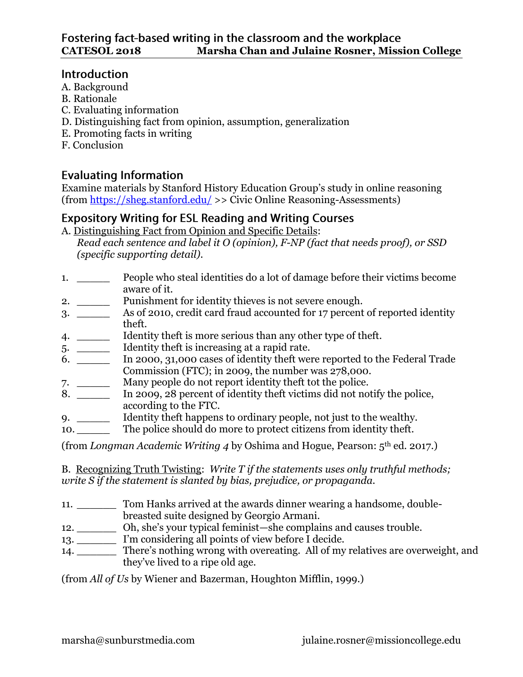## **Introduction**

- A. Background
- B. Rationale
- C. Evaluating information
- D. Distinguishing fact from opinion, assumption, generalization
- E. Promoting facts in writing
- F. Conclusion

# **Evaluating Information**

Examine materials by Stanford History Education Group's study in online reasoning (from<https://sheg.stanford.edu/> >> Civic Online Reasoning-Assessments)

# **Expository Writing for ESL Reading and Writing Courses**

A. Distinguishing Fact from Opinion and Specific Details:

*Read each sentence and label it O (opinion), F-NP (fact that needs proof), or SSD (specific supporting detail).*

- 1. \_\_\_\_\_ People who steal identities do a lot of damage before their victims become aware of it.
- 2. \_\_\_\_\_\_\_ Punishment for identity thieves is not severe enough.
- 3. \_\_\_\_\_ As of 2010, credit card fraud accounted for 17 percent of reported identity theft.
- 4. \_\_\_\_\_\_\_ Identity theft is more serious than any other type of theft.
- 5. \_\_\_\_\_\_\_\_ Identity theft is increasing at a rapid rate.
- 6. \_\_\_\_\_ In 2000, 31,000 cases of identity theft were reported to the Federal Trade Commission (FTC); in 2009, the number was 278,000.
- 
- 7. \_\_\_\_\_\_\_\_\_\_ Many people do not report identity theft tot the police.<br>8. \_\_\_\_\_\_\_\_\_\_\_\_\_\_ In 2009, 28 percent of identity theft victims did not not In 2009, 28 percent of identity theft victims did not notify the police, according to the FTC.
- 9. \_\_\_\_\_\_ Identity theft happens to ordinary people, not just to the wealthy.
- 10. The police should do more to protect citizens from identity theft.

(from *Longman Academic Writing 4* by Oshima and Hogue, Pearson: 5th ed. 2017.)

B. Recognizing Truth Twisting: *Write T if the statements uses only truthful methods; write S if the statement is slanted by bias, prejudice, or propaganda.*

- 11. \_\_\_\_\_\_ Tom Hanks arrived at the awards dinner wearing a handsome, doublebreasted suite designed by Georgio Armani.
- 12. \_\_\_\_\_\_ Oh, she's your typical feminist—she complains and causes trouble.
- 13. \_\_\_\_\_\_\_ I'm considering all points of view before I decide.
- 14. There's nothing wrong with overeating. All of my relatives are overweight, and they've lived to a ripe old age.

(from *All of Us* by Wiener and Bazerman, Houghton Mifflin, 1999.)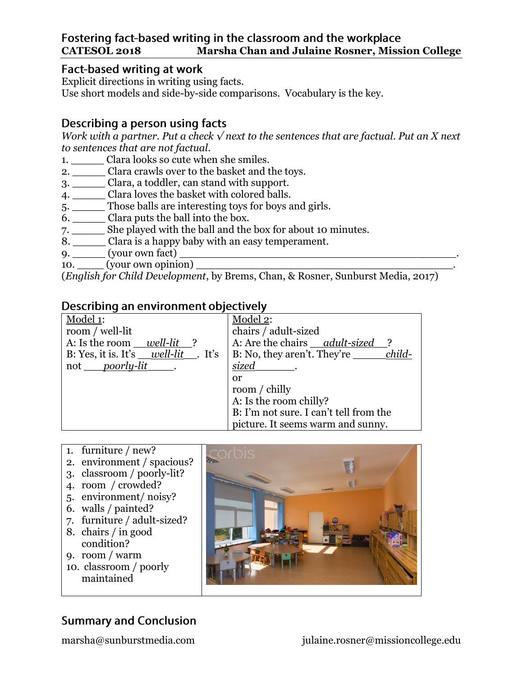## Fostering fact-based writing in the classroom and the workplace **CATESOL 2018 Marsha Chan and Julaine Rosner, Mission College**

### **Fact-based writing at work**

Explicit directions in writing using facts. Use short models and side-by-side comparisons. Vocabulary is the key.

## Describing a person using facts

*Work with a partner. Put a check √ next to the sentences that are factual. Put an X next to sentences that are not factual.*

- 1. \_\_\_\_\_\_\_ Clara looks so cute when she smiles.
- 2. \_\_\_\_\_ Clara crawls over to the basket and the toys.
- 3. \_\_\_\_\_ Clara, a toddler, can stand with support.
- 4. \_\_\_\_\_ Clara loves the basket with colored balls.
- 5. \_\_\_\_\_ Those balls are interesting toys for boys and girls.
- 6. \_\_\_\_\_ Clara puts the ball into the box.
- 7. \_\_\_\_\_ She played with the ball and the box for about 10 minutes.
- 8. \_\_\_\_\_ Clara is a happy baby with an easy temperament.
- $9.$   $\qquad \qquad$  (your own fact)
- 10. \_\_\_\_ (your own opinion) \_\_\_\_\_\_\_\_\_\_\_\_\_\_\_\_\_\_\_\_\_\_\_\_\_\_\_\_\_\_\_\_\_\_\_\_\_\_\_.

(*English for Child Development*, by Brems, Chan, & Rosner, Sunburst Media, 2017)

## Describing an environment objectively

| Model 1:                                     | Model 2:                               |
|----------------------------------------------|----------------------------------------|
| room / well-lit                              | chairs / adult-sized                   |
| A: Is the room well-lit                      | A: Are the chairs adult-sized          |
| B: Yes, it is. It's $\_\_well\_\_let$ . It's | child-<br>B: No, they aren't. They're  |
| not <i>poorly-lit</i>                        | <i>sized</i>                           |
|                                              | or                                     |
|                                              | room / chilly                          |
|                                              | A: Is the room chilly?                 |
|                                              | B: I'm not sure. I can't tell from the |
|                                              | picture. It seems warm and sunny.      |

- 1. furniture / new?
- 2. environment / spacious?
- 3. classroom / poorly-lit?
- 4. room / crowded?
- 5. environment/ noisy?
- 6. walls / painted?
- 7. furniture / adult-sized?
- 8. chairs / in good
- condition? 9. room / warm
- 
- 10. classroom / poorly maintained



# **Summary and Conclusion**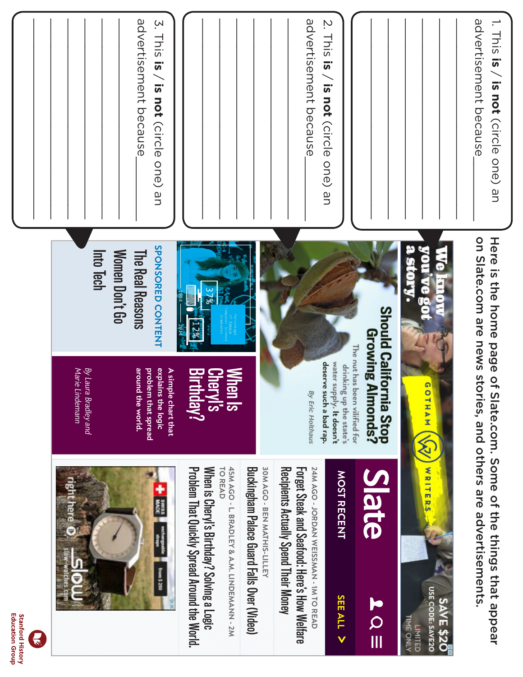

**Stanford History**<br>Education Group